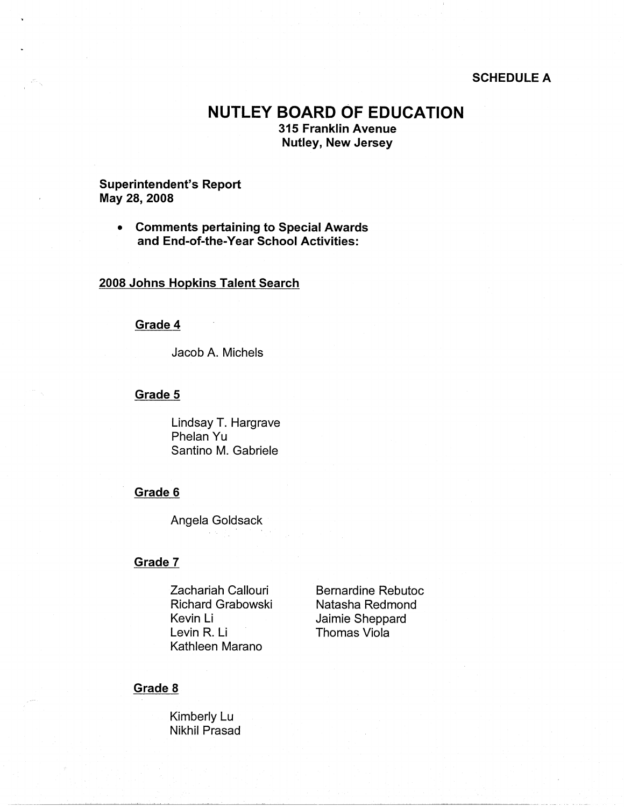#### **SCHEDULE A**

# **NUTLEY BOARD OF EDUCATION**

**315 Franklin Avenue Nutley, New Jersey** 

## **Superintendent's Report May 28, 2008**

• **Comments pertaining to Special Awards and End-of-the-Year School Activities:** 

#### **2008 Johns Hopkins Talent Search**

## **Grade 4**

Jacob A. Michels

#### **Grade 5**

Lindsay T. Hargrave Phelan Yu Santino M. Gabriele

#### **Grade 6**

Angela Goldsack

#### **Grade 7**

Zachariah Callouri Richard Grabowski Kevin Li Levin R. Li Kathleen Marano

Bernardine Rebutoc Natasha Redmond Jaimie Sheppard Thomas Viola

#### **Grade 8**

Kimberly Lu Nikhil Prasad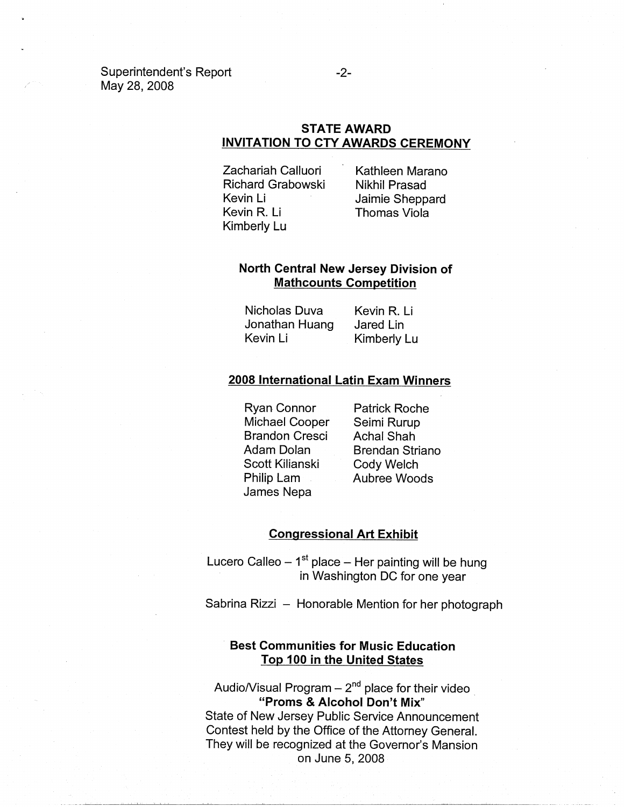Superintendent's Report May 28, 2008

# **STATE AWARD INVITATION TO CTY AWARDS CEREMONY**

Zachariah Calluori Richard Grabowski Kevin Li Kevin R. Li Kimberly Lu

Kathleen Marano Nikhil Prasad Jaimie Sheppard Thomas Viola

# **North Central New Jersey Division of Mathcounts Competition**

Nicholas Duva Jonathan Huang Kevin Li Kevin R. Li Jared Lin Kimberly Lu

## **2008 International Latin Exam Winners**

Ryan Connor Michael Cooper Brandon Cresci Adam Dolan Scott Kilianski Philip Lam James Nepa

Patrick Roche Seimi Rurup Achal Shah Brendan Striano Cody Welch Aubree Woods

#### **Congressional Art Exhibit**

Lucero Calleo  $-1<sup>st</sup>$  place  $-$  Her painting will be hung in Washington DC for one year

Sabrina Rizzi - Honorable Mention for her photograph

## **Best Communities for Music Education Top 100 in the United States**

Audio/Visual Program  $-2<sup>nd</sup>$  place for their video **"Proms & Alcohol Don't Mix"**  State of New Jersey Public Service Announcement Contest held by the Office of the Attorney General. They will be recognized at the Governor's Mansion on June 5, 2008

#### -2-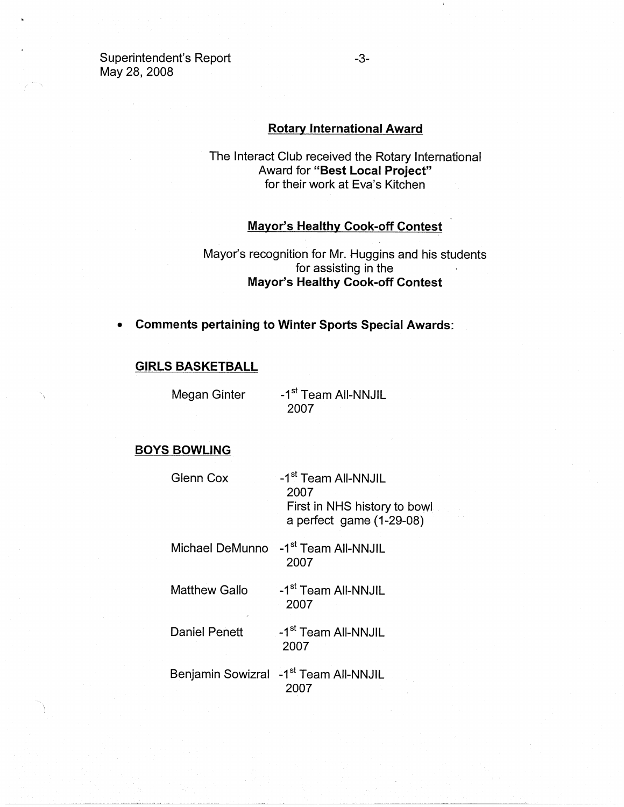Superintendent's Report May 28, 2008

#### **Rotary International Award**

The Interact Club received the Rotary International Award for **"Best Local Project"**  for their work at Eva's Kitchen

# **Mayor's Healthy Cook-off Contest**

# Mayor's recognition for Mr. Huggins and his students for assisting in the **Mayor's Healthy Cook-off Contest**

• **Comments pertaining to Winter Sports Special Awards:** 

## **GIRLS BASKETBALL**

Megan Ginter

-1<sup>st</sup> Team All-NNJIL 2007

## **BOYS BOWLING**

| Glenn Cox            | -1 <sup>st</sup> Team All-NNJIL<br>2007<br>First in NHS history to bowl<br>a perfect game (1-29-08) |
|----------------------|-----------------------------------------------------------------------------------------------------|
| Michael DeMunno      | -1 <sup>st</sup> Team All-NNJIL<br>2007                                                             |
| Matthew Gallo        | -1 <sup>st</sup> Team All-NNJIL<br>2007                                                             |
| <b>Daniel Penett</b> | -1 <sup>st</sup> Team All-NNJIL<br>2007                                                             |
|                      | Benjamin Sowizral -1 <sup>st</sup> Team All-NNJIL<br>2007                                           |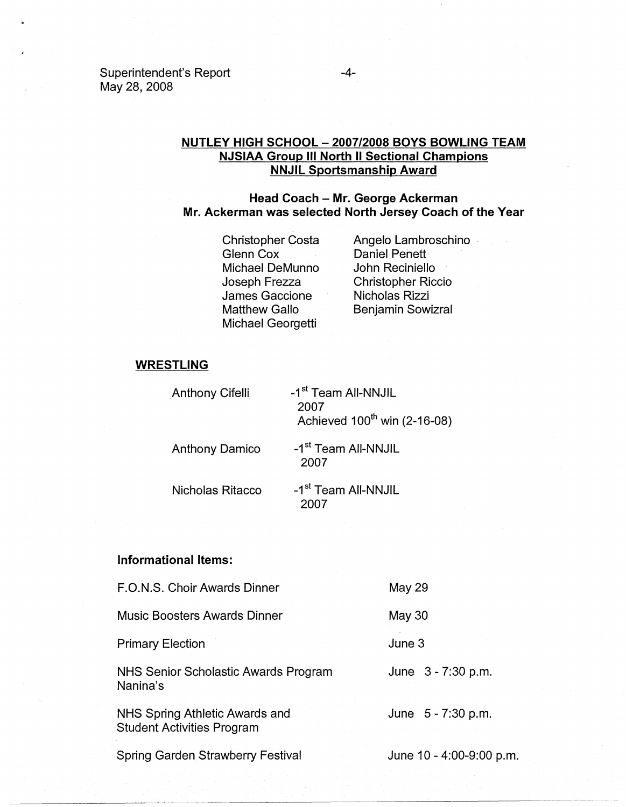## Superintendent's Report May 28, 2008

## **NUTLEY HIGH SCHOOL - 2007/2008 BOYS BOWLING TEAM NJSIAA Group** Ill **North** II **Sectional Champions NNJIL Sportsmanship Award**

## **Head Coach - Mr. George Ackerman Mr. Ackerman was selected North Jersey Coach of the Year**

Christopher Costa Glenn Cox Michael DeMunno Joseph Frezza James Gaccione Matthew Gallo Michael Georgetti

Angelo Lambroschino . Daniel Pehett John Reciniello Christopher Riccio Nicholas Rizzi Benjamin Sowizral

## **WRESTLING**

Anthony Cifelli -1<sup>st</sup> Team All-NNJIL 2007 Achieved  $100^{th}$  win (2-16-08)

Anthony Damico

-1<sup>st</sup> Team All-NNJIL 2007

Nicholas Ritacco

-1<sup>st</sup> Team All-NNJIL 2007

## **Informational Items:**

| F.O.N.S. Choir Awards Dinner                                        | May 29                   |  |
|---------------------------------------------------------------------|--------------------------|--|
| <b>Music Boosters Awards Dinner</b>                                 | May 30                   |  |
| <b>Primary Election</b>                                             | June 3                   |  |
| NHS Senior Scholastic Awards Program<br>Nanina's                    | June 3 - 7:30 p.m.       |  |
| NHS Spring Athletic Awards and<br><b>Student Activities Program</b> | June 5 - 7:30 p.m.       |  |
| <b>Spring Garden Strawberry Festival</b>                            | June 10 - 4:00-9:00 p.m. |  |